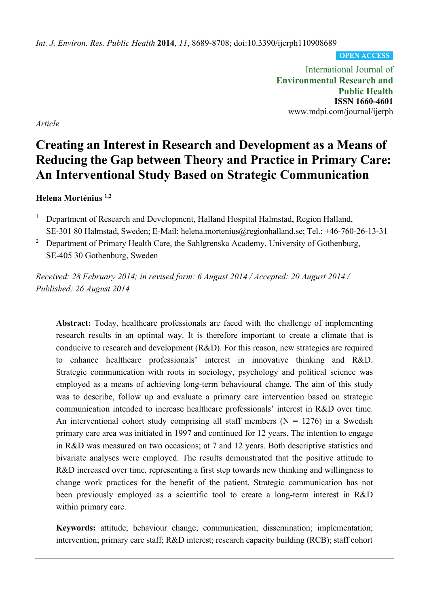*Int. J. Environ. Res. Public Health* **2014**, *11*, 8689-8708; doi:10.3390/ijerph110908689

**OPEN ACCESS**

International Journal of **Environmental Research and Public Health ISSN 1660-4601**  www.mdpi.com/journal/ijerph

*Article* 

# **Creating an Interest in Research and Development as a Means of Reducing the Gap between Theory and Practice in Primary Care: An Interventional Study Based on Strategic Communication**

# **Helena Morténius 1,2**

- 1 Department of Research and Development, Halland Hospital Halmstad, Region Halland, SE-301 80 Halmstad, Sweden; E-Mail: helena.mortenius@regionhalland.se; Tel.: +46-760-26-13-31
- 2 Department of Primary Health Care, the Sahlgrenska Academy, University of Gothenburg, SE-405 30 Gothenburg, Sweden

*Received: 28 February 2014; in revised form: 6 August 2014 / Accepted: 20 August 2014 / Published: 26 August 2014* 

**Abstract:** Today, healthcare professionals are faced with the challenge of implementing research results in an optimal way. It is therefore important to create a climate that is conducive to research and development (R&D). For this reason, new strategies are required to enhance healthcare professionals' interest in innovative thinking and R&D. Strategic communication with roots in sociology, psychology and political science was employed as a means of achieving long-term behavioural change. The aim of this study was to describe, follow up and evaluate a primary care intervention based on strategic communication intended to increase healthcare professionals' interest in R&D over time. An interventional cohort study comprising all staff members  $(N = 1276)$  in a Swedish primary care area was initiated in 1997 and continued for 12 years. The intention to engage in R&D was measured on two occasions; at 7 and 12 years. Both descriptive statistics and bivariate analyses were employed. The results demonstrated that the positive attitude to R&D increased over time*,* representing a first step towards new thinking and willingness to change work practices for the benefit of the patient. Strategic communication has not been previously employed as a scientific tool to create a long-term interest in R&D within primary care.

**Keywords:** attitude; behaviour change; communication; dissemination; implementation; intervention; primary care staff; R&D interest; research capacity building (RCB); staff cohort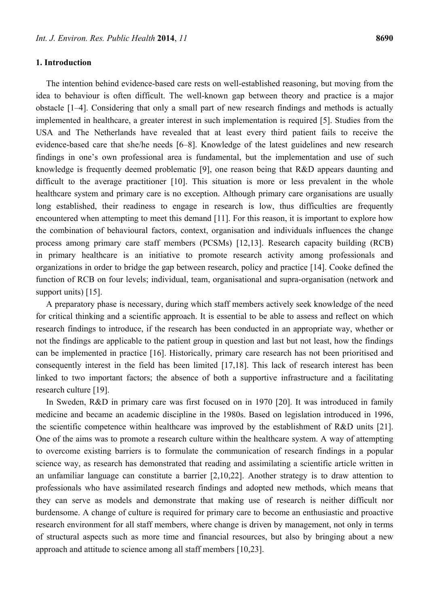# **1. Introduction**

The intention behind evidence-based care rests on well-established reasoning, but moving from the idea to behaviour is often difficult. The well-known gap between theory and practice is a major obstacle [1–4]. Considering that only a small part of new research findings and methods is actually implemented in healthcare, a greater interest in such implementation is required [5]. Studies from the USA and The Netherlands have revealed that at least every third patient fails to receive the evidence-based care that she/he needs [6–8]. Knowledge of the latest guidelines and new research findings in one's own professional area is fundamental, but the implementation and use of such knowledge is frequently deemed problematic [9], one reason being that R&D appears daunting and difficult to the average practitioner [10]. This situation is more or less prevalent in the whole healthcare system and primary care is no exception. Although primary care organisations are usually long established, their readiness to engage in research is low, thus difficulties are frequently encountered when attempting to meet this demand [11]. For this reason, it is important to explore how the combination of behavioural factors, context, organisation and individuals influences the change process among primary care staff members (PCSMs) [12,13]. Research capacity building (RCB) in primary healthcare is an initiative to promote research activity among professionals and organizations in order to bridge the gap between research, policy and practice [14]. Cooke defined the function of RCB on four levels; individual, team, organisational and supra-organisation (network and support units) [15].

A preparatory phase is necessary, during which staff members actively seek knowledge of the need for critical thinking and a scientific approach. It is essential to be able to assess and reflect on which research findings to introduce, if the research has been conducted in an appropriate way, whether or not the findings are applicable to the patient group in question and last but not least, how the findings can be implemented in practice [16]. Historically, primary care research has not been prioritised and consequently interest in the field has been limited [17,18]. This lack of research interest has been linked to two important factors; the absence of both a supportive infrastructure and a facilitating research culture [19].

In Sweden, R&D in primary care was first focused on in 1970 [20]. It was introduced in family medicine and became an academic discipline in the 1980s. Based on legislation introduced in 1996, the scientific competence within healthcare was improved by the establishment of R&D units [21]. One of the aims was to promote a research culture within the healthcare system. A way of attempting to overcome existing barriers is to formulate the communication of research findings in a popular science way, as research has demonstrated that reading and assimilating a scientific article written in an unfamiliar language can constitute a barrier [2,10,22]. Another strategy is to draw attention to professionals who have assimilated research findings and adopted new methods, which means that they can serve as models and demonstrate that making use of research is neither difficult nor burdensome. A change of culture is required for primary care to become an enthusiastic and proactive research environment for all staff members, where change is driven by management, not only in terms of structural aspects such as more time and financial resources, but also by bringing about a new approach and attitude to science among all staff members [10,23].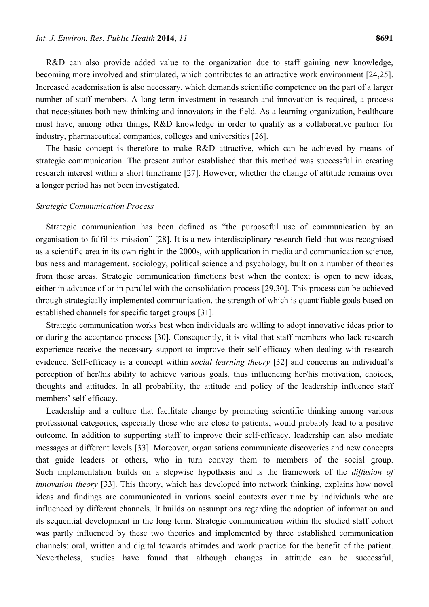R&D can also provide added value to the organization due to staff gaining new knowledge, becoming more involved and stimulated, which contributes to an attractive work environment [24,25]. Increased academisation is also necessary, which demands scientific competence on the part of a larger number of staff members. A long-term investment in research and innovation is required, a process that necessitates both new thinking and innovators in the field. As a learning organization, healthcare must have, among other things, R&D knowledge in order to qualify as a collaborative partner for industry, pharmaceutical companies, colleges and universities [26].

The basic concept is therefore to make R&D attractive, which can be achieved by means of strategic communication. The present author established that this method was successful in creating research interest within a short timeframe [27]. However, whether the change of attitude remains over a longer period has not been investigated.

#### *Strategic Communication Process*

Strategic communication has been defined as "the purposeful use of communication by an organisation to fulfil its mission" [28]. It is a new interdisciplinary research field that was recognised as a scientific area in its own right in the 2000s, with application in media and communication science, business and management, sociology, political science and psychology, built on a number of theories from these areas. Strategic communication functions best when the context is open to new ideas, either in advance of or in parallel with the consolidation process [29,30]. This process can be achieved through strategically implemented communication, the strength of which is quantifiable goals based on established channels for specific target groups [31].

Strategic communication works best when individuals are willing to adopt innovative ideas prior to or during the acceptance process [30]. Consequently, it is vital that staff members who lack research experience receive the necessary support to improve their self-efficacy when dealing with research evidence. Self-efficacy is a concept within *social learning theory* [32] and concerns an individual's perception of her/his ability to achieve various goals*,* thus influencing her/his motivation, choices, thoughts and attitudes. In all probability, the attitude and policy of the leadership influence staff members' self-efficacy.

Leadership and a culture that facilitate change by promoting scientific thinking among various professional categories, especially those who are close to patients, would probably lead to a positive outcome. In addition to supporting staff to improve their self-efficacy, leadership can also mediate messages at different levels [33]. Moreover, organisations communicate discoveries and new concepts that guide leaders or others, who in turn convey them to members of the social group. Such implementation builds on a stepwise hypothesis and is the framework of the *diffusion of innovation theory* [33]. This theory, which has developed into network thinking, explains how novel ideas and findings are communicated in various social contexts over time by individuals who are influenced by different channels. It builds on assumptions regarding the adoption of information and its sequential development in the long term. Strategic communication within the studied staff cohort was partly influenced by these two theories and implemented by three established communication channels: oral, written and digital towards attitudes and work practice for the benefit of the patient. Nevertheless, studies have found that although changes in attitude can be successful,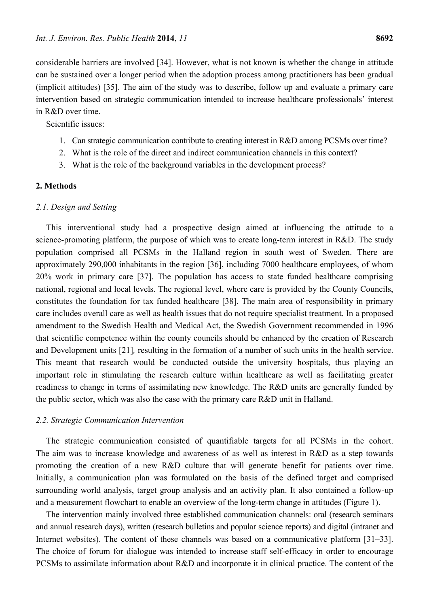considerable barriers are involved [34]. However, what is not known is whether the change in attitude can be sustained over a longer period when the adoption process among practitioners has been gradual (implicit attitudes) [35]. The aim of the study was to describe, follow up and evaluate a primary care intervention based on strategic communication intended to increase healthcare professionals' interest in R&D over time.

Scientific issues:

- 1. Can strategic communication contribute to creating interest in R&D among PCSMs over time?
- 2. What is the role of the direct and indirect communication channels in this context?
- 3. What is the role of the background variables in the development process?

# **2. Methods**

# *2.1. Design and Setting*

This interventional study had a prospective design aimed at influencing the attitude to a science-promoting platform, the purpose of which was to create long-term interest in R&D. The study population comprised all PCSMs in the Halland region in south west of Sweden. There are approximately 290,000 inhabitants in the region [36], including 7000 healthcare employees, of whom 20% work in primary care [37]. The population has access to state funded healthcare comprising national, regional and local levels. The regional level, where care is provided by the County Councils, constitutes the foundation for tax funded healthcare [38]. The main area of responsibility in primary care includes overall care as well as health issues that do not require specialist treatment. In a proposed amendment to the Swedish Health and Medical Act, the Swedish Government recommended in 1996 that scientific competence within the county councils should be enhanced by the creation of Research and Development units [21]*,* resulting in the formation of a number of such units in the health service. This meant that research would be conducted outside the university hospitals, thus playing an important role in stimulating the research culture within healthcare as well as facilitating greater readiness to change in terms of assimilating new knowledge. The R&D units are generally funded by the public sector, which was also the case with the primary care R&D unit in Halland.

# *2.2. Strategic Communication Intervention*

The strategic communication consisted of quantifiable targets for all PCSMs in the cohort. The aim was to increase knowledge and awareness of as well as interest in R&D as a step towards promoting the creation of a new R&D culture that will generate benefit for patients over time. Initially, a communication plan was formulated on the basis of the defined target and comprised surrounding world analysis, target group analysis and an activity plan. It also contained a follow-up and a measurement flowchart to enable an overview of the long-term change in attitudes (Figure 1).

The intervention mainly involved three established communication channels: oral (research seminars and annual research days), written (research bulletins and popular science reports) and digital (intranet and Internet websites). The content of these channels was based on a communicative platform [31–33]. The choice of forum for dialogue was intended to increase staff self-efficacy in order to encourage PCSMs to assimilate information about R&D and incorporate it in clinical practice. The content of the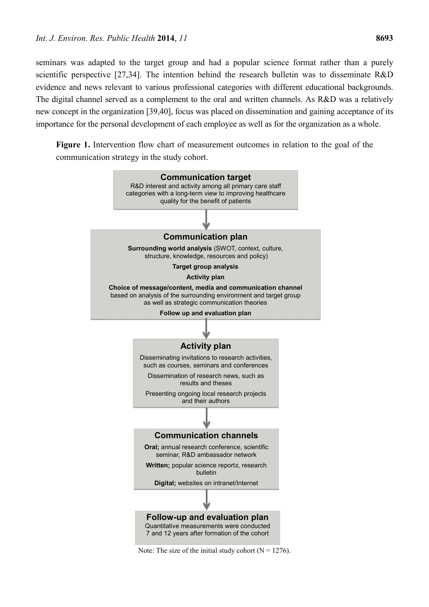seminars was adapted to the target group and had a popular science format rather than a purely scientific perspective [27,34]. The intention behind the research bulletin was to disseminate R&D evidence and news relevant to various professional categories with different educational backgrounds. The digital channel served as a complement to the oral and written channels. As R&D was a relatively new concept in the organization [39,40], focus was placed on dissemination and gaining acceptance of its importance for the personal development of each employee as well as for the organization as a whole.

**Figure 1.** Intervention flow chart of measurement outcomes in relation to the goal of the communication strategy in the study cohort.

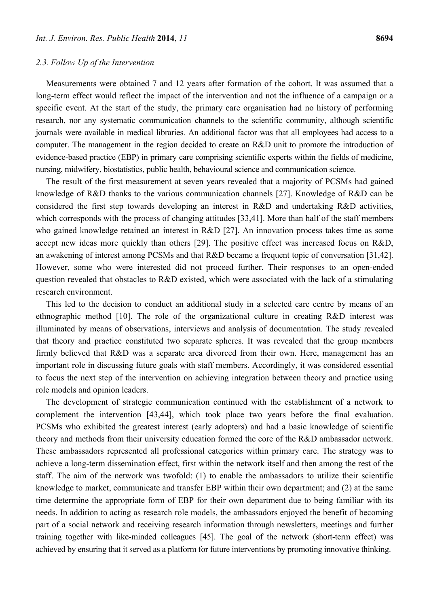# *2.3. Follow Up of the Intervention*

Measurements were obtained 7 and 12 years after formation of the cohort. It was assumed that a long-term effect would reflect the impact of the intervention and not the influence of a campaign or a specific event. At the start of the study, the primary care organisation had no history of performing research, nor any systematic communication channels to the scientific community, although scientific journals were available in medical libraries. An additional factor was that all employees had access to a computer. The management in the region decided to create an R&D unit to promote the introduction of evidence-based practice (EBP) in primary care comprising scientific experts within the fields of medicine, nursing, midwifery, biostatistics, public health, behavioural science and communication science.

The result of the first measurement at seven years revealed that a majority of PCSMs had gained knowledge of R&D thanks to the various communication channels [27]. Knowledge of R&D can be considered the first step towards developing an interest in R&D and undertaking R&D activities, which corresponds with the process of changing attitudes [33,41]. More than half of the staff members who gained knowledge retained an interest in R&D [27]. An innovation process takes time as some accept new ideas more quickly than others [29]. The positive effect was increased focus on R&D, an awakening of interest among PCSMs and that R&D became a frequent topic of conversation [31,42]. However, some who were interested did not proceed further. Their responses to an open-ended question revealed that obstacles to R&D existed, which were associated with the lack of a stimulating research environment.

This led to the decision to conduct an additional study in a selected care centre by means of an ethnographic method [10]. The role of the organizational culture in creating R&D interest was illuminated by means of observations, interviews and analysis of documentation. The study revealed that theory and practice constituted two separate spheres. It was revealed that the group members firmly believed that R&D was a separate area divorced from their own. Here, management has an important role in discussing future goals with staff members. Accordingly, it was considered essential to focus the next step of the intervention on achieving integration between theory and practice using role models and opinion leaders.

The development of strategic communication continued with the establishment of a network to complement the intervention [43,44], which took place two years before the final evaluation. PCSMs who exhibited the greatest interest (early adopters) and had a basic knowledge of scientific theory and methods from their university education formed the core of the R&D ambassador network. These ambassadors represented all professional categories within primary care. The strategy was to achieve a long-term dissemination effect, first within the network itself and then among the rest of the staff. The aim of the network was twofold: (1) to enable the ambassadors to utilize their scientific knowledge to market, communicate and transfer EBP within their own department; and (2) at the same time determine the appropriate form of EBP for their own department due to being familiar with its needs. In addition to acting as research role models, the ambassadors enjoyed the benefit of becoming part of a social network and receiving research information through newsletters, meetings and further training together with like-minded colleagues [45]. The goal of the network (short-term effect) was achieved by ensuring that it served as a platform for future interventions by promoting innovative thinking.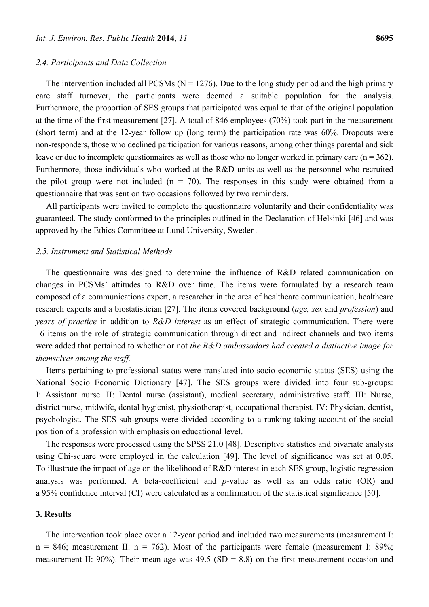#### *2.4. Participants and Data Collection*

The intervention included all PCSMs ( $N = 1276$ ). Due to the long study period and the high primary care staff turnover, the participants were deemed a suitable population for the analysis. Furthermore, the proportion of SES groups that participated was equal to that of the original population at the time of the first measurement [27]. A total of 846 employees (70%) took part in the measurement (short term) and at the 12-year follow up (long term) the participation rate was 60%. Dropouts were non-responders, those who declined participation for various reasons, among other things parental and sick leave or due to incomplete questionnaires as well as those who no longer worked in primary care  $(n = 362)$ . Furthermore, those individuals who worked at the R&D units as well as the personnel who recruited the pilot group were not included  $(n = 70)$ . The responses in this study were obtained from a questionnaire that was sent on two occasions followed by two reminders.

All participants were invited to complete the questionnaire voluntarily and their confidentiality was guaranteed. The study conformed to the principles outlined in the Declaration of Helsinki [46] and was approved by the Ethics Committee at Lund University, Sweden.

## *2.5. Instrument and Statistical Methods*

The questionnaire was designed to determine the influence of R&D related communication on changes in PCSMs' attitudes to R&D over time. The items were formulated by a research team composed of a communications expert, a researcher in the area of healthcare communication, healthcare research experts and a biostatistician [27]. The items covered background (*age, sex* and *profession*) and *years of practice* in addition to *R&D interest* as an effect of strategic communication. There were 16 items on the role of strategic communication through direct and indirect channels and two items were added that pertained to whether or not *the R&D ambassadors had created a distinctive image for themselves among the staff.* 

Items pertaining to professional status were translated into socio-economic status (SES) using the National Socio Economic Dictionary [47]. The SES groups were divided into four sub-groups: I: Assistant nurse. II: Dental nurse (assistant), medical secretary, administrative staff. III: Nurse, district nurse, midwife, dental hygienist, physiotherapist, occupational therapist. IV: Physician, dentist, psychologist. The SES sub*-*groups were divided according to a ranking taking account of the social position of a profession with emphasis on educational level.

The responses were processed using the SPSS 21.0 [48]. Descriptive statistics and bivariate analysis using Chi-square were employed in the calculation [49]. The level of significance was set at 0.05. To illustrate the impact of age on the likelihood of R&D interest in each SES group, logistic regression analysis was performed. A beta-coefficient and *p*-value as well as an odds ratio (OR) and a 95% confidence interval (CI) were calculated as a confirmation of the statistical significance [50].

# **3. Results**

The intervention took place over a 12-year period and included two measurements (measurement I:  $n = 846$ ; measurement II:  $n = 762$ ). Most of the participants were female (measurement I: 89%; measurement II: 90%). Their mean age was 49.5 (SD = 8.8) on the first measurement occasion and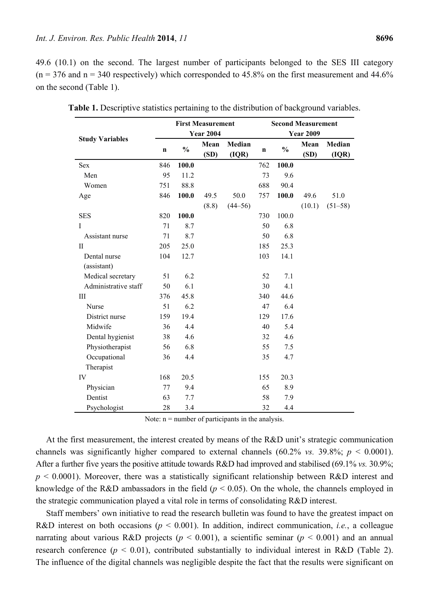49.6 (10.1) on the second. The largest number of participants belonged to the SES III category  $(n = 376$  and  $n = 340$  respectively) which corresponded to 45.8% on the first measurement and 44.6% on the second (Table 1).

|                        | <b>First Measurement</b> |               |              |                 | <b>Second Measurement</b> |               |              |                 |  |
|------------------------|--------------------------|---------------|--------------|-----------------|---------------------------|---------------|--------------|-----------------|--|
|                        | <b>Year 2004</b>         |               |              |                 | <b>Year 2009</b>          |               |              |                 |  |
| <b>Study Variables</b> | $\mathbf n$              | $\frac{0}{0}$ | Mean<br>(SD) | Median<br>(IQR) | $\mathbf n$               | $\frac{0}{0}$ | Mean<br>(SD) | Median<br>(IQR) |  |
| <b>Sex</b>             | 846                      | 100.0         |              |                 | 762                       | 100.0         |              |                 |  |
| Men                    | 95                       | 11.2          |              |                 | 73                        | 9.6           |              |                 |  |
| Women                  | 751                      | 88.8          |              |                 | 688                       | 90.4          |              |                 |  |
| Age                    | 846                      | 100.0         | 49.5         | 50.0            | 757                       | 100.0         | 49.6         | 51.0            |  |
|                        |                          |               | (8.8)        | $(44 - 56)$     |                           |               | (10.1)       | $(51 - 58)$     |  |
| <b>SES</b>             | 820                      | 100.0         |              |                 | 730                       | 100.0         |              |                 |  |
| I                      | 71                       | 8.7           |              |                 | 50                        | 6.8           |              |                 |  |
| Assistant nurse        | 71                       | 8.7           |              |                 | 50                        | 6.8           |              |                 |  |
| $\mathbf{I}$           | 205                      | 25.0          |              |                 | 185                       | 25.3          |              |                 |  |
| Dental nurse           | 104                      | 12.7          |              |                 | 103                       | 14.1          |              |                 |  |
| (assistant)            |                          |               |              |                 |                           |               |              |                 |  |
| Medical secretary      | 51                       | 6.2           |              |                 | 52                        | 7.1           |              |                 |  |
| Administrative staff   | 50                       | 6.1           |              |                 | 30                        | 4.1           |              |                 |  |
| Ш                      | 376                      | 45.8          |              |                 | 340                       | 44.6          |              |                 |  |
| Nurse                  | 51                       | 6.2           |              |                 | 47                        | 6.4           |              |                 |  |
| District nurse         | 159                      | 19.4          |              |                 | 129                       | 17.6          |              |                 |  |
| Midwife                | 36                       | 4.4           |              |                 | 40                        | 5.4           |              |                 |  |
| Dental hygienist       | 38                       | 4.6           |              |                 | 32                        | 4.6           |              |                 |  |
| Physiotherapist        | 56                       | 6.8           |              |                 | 55                        | 7.5           |              |                 |  |
| Occupational           | 36                       | 4.4           |              |                 | 35                        | 4.7           |              |                 |  |
| Therapist              |                          |               |              |                 |                           |               |              |                 |  |
| IV                     | 168                      | 20.5          |              |                 | 155                       | 20.3          |              |                 |  |
| Physician              | 77                       | 9.4           |              |                 | 65                        | 8.9           |              |                 |  |
| Dentist                | 63                       | 7.7           |              |                 | 58                        | 7.9           |              |                 |  |
| Psychologist           | 28                       | 3.4           |              |                 | 32                        | 4.4           |              |                 |  |

**Table 1.** Descriptive statistics pertaining to the distribution of background variables.

Note:  $n =$  number of participants in the analysis.

At the first measurement, the interest created by means of the R&D unit's strategic communication channels was significantly higher compared to external channels (60.2% vs. 39.8%;  $p < 0.0001$ ). After a further five years the positive attitude towards R&D had improved and stabilised (69.1% *vs.* 30.9%;  $p \le 0.0001$ ). Moreover, there was a statistically significant relationship between R&D interest and knowledge of the R&D ambassadors in the field  $(p < 0.05)$ . On the whole, the channels employed in the strategic communication played a vital role in terms of consolidating R&D interest.

Staff members' own initiative to read the research bulletin was found to have the greatest impact on R&D interest on both occasions ( $p < 0.001$ ). In addition, indirect communication, *i.e.*, a colleague narrating about various R&D projects ( $p < 0.001$ ), a scientific seminar ( $p < 0.001$ ) and an annual research conference ( $p < 0.01$ ), contributed substantially to individual interest in R&D (Table 2). The influence of the digital channels was negligible despite the fact that the results were significant on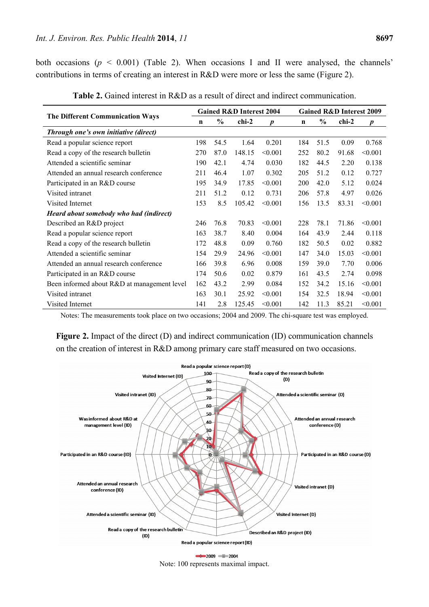both occasions  $(p < 0.001)$  (Table 2). When occasions I and II were analysed, the channels' contributions in terms of creating an interest in R&D were more or less the same (Figure 2).

| <b>The Different Communication Ways</b>     |     | <b>Gained R&amp;D Interest 2004</b> |        |                  |             | <b>Gained R&amp;D Interest 2009</b> |       |                  |  |
|---------------------------------------------|-----|-------------------------------------|--------|------------------|-------------|-------------------------------------|-------|------------------|--|
|                                             |     | $\frac{0}{0}$                       | chi-2  | $\boldsymbol{p}$ | $\mathbf n$ | $\frac{6}{9}$                       | chi-2 | $\boldsymbol{p}$ |  |
| Through one's own initiative (direct)       |     |                                     |        |                  |             |                                     |       |                  |  |
| Read a popular science report               | 198 | 54.5                                | 1.64   | 0.201            | 184         | 51.5                                | 0.09  | 0.768            |  |
| Read a copy of the research bulletin        | 270 | 87.0                                | 148.15 | < 0.001          | 252         | 80.2                                | 91.68 | < 0.001          |  |
| Attended a scientific seminar               | 190 | 42.1                                | 4.74   | 0.030            | 182         | 44.5                                | 2.20  | 0.138            |  |
| Attended an annual research conference      | 211 | 46.4                                | 1.07   | 0.302            | 205         | 51.2                                | 0.12  | 0.727            |  |
| Participated in an R&D course               | 195 | 34.9                                | 17.85  | < 0.001          | <b>200</b>  | 42.0                                | 5.12  | 0.024            |  |
| Visited intranet                            | 211 | 51.2                                | 0.12   | 0.731            | 206         | 57.8                                | 4.97  | 0.026            |  |
| Visited Internet                            | 153 | 8.5                                 | 105.42 | < 0.001          | 156         | 13.5                                | 83.31 | < 0.001          |  |
| Heard about somebody who had (indirect)     |     |                                     |        |                  |             |                                     |       |                  |  |
| Described an R&D project                    | 246 | 76.8                                | 70.83  | < 0.001          | 228         | 78.1                                | 71.86 | < 0.001          |  |
| Read a popular science report               | 163 | 38.7                                | 8.40   | 0.004            | 164         | 43.9                                | 2.44  | 0.118            |  |
| Read a copy of the research bulletin        | 172 | 48.8                                | 0.09   | 0.760            | 182         | 50.5                                | 0.02  | 0.882            |  |
| Attended a scientific seminar               | 154 | 29.9                                | 24.96  | < 0.001          | 147         | 34.0                                | 15.03 | < 0.001          |  |
| Attended an annual research conference      | 166 | 39.8                                | 6.96   | 0.008            | 159         | 39.0                                | 7.70  | 0.006            |  |
| Participated in an R&D course               | 174 | 50.6                                | 0.02   | 0.879            | 161         | 43.5                                | 2.74  | 0.098            |  |
| Been informed about R&D at management level | 162 | 43.2                                | 2.99   | 0.084            | 152         | 34.2                                | 15.16 | < 0.001          |  |
| Visited intranet                            | 163 | 30.1                                | 25.92  | < 0.001          | 154         | 32.5                                | 18.94 | < 0.001          |  |
| Visited Internet                            | 141 | 2.8                                 | 125.45 | < 0.001          | 142         | 11.3                                | 85.21 | < 0.001          |  |

**Table 2.** Gained interest in R&D as a result of direct and indirect communication.

Notes: The measurements took place on two occasions; 2004 and 2009. The chi-square test was employed.

**Figure 2.** Impact of the direct (D) and indirect communication (ID) communication channels on the creation of interest in R&D among primary care staff measured on two occasions.



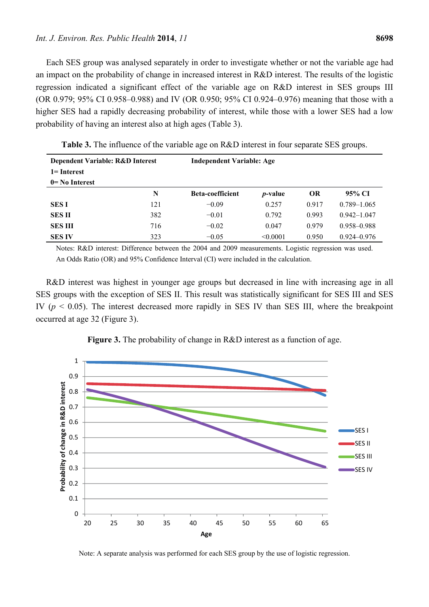Each SES group was analysed separately in order to investigate whether or not the variable age had an impact on the probability of change in increased interest in R&D interest. The results of the logistic regression indicated a significant effect of the variable age on R&D interest in SES groups III (OR 0.979; 95% CI 0.958–0.988) and IV (OR 0.950; 95% CI 0.924–0.976) meaning that those with a higher SES had a rapidly decreasing probability of interest, while those with a lower SES had a low probability of having an interest also at high ages (Table 3).

| Dependent Variable: R&D Interest |     |                         | <b>Independent Variable: Age</b> |           |                 |  |  |  |  |
|----------------------------------|-----|-------------------------|----------------------------------|-----------|-----------------|--|--|--|--|
| $1 =$ Interest                   |     |                         |                                  |           |                 |  |  |  |  |
| $0=$ No Interest                 |     |                         |                                  |           |                 |  |  |  |  |
|                                  | N   | <b>Beta-coefficient</b> | <i>p</i> -value                  | <b>OR</b> | 95% CI          |  |  |  |  |
| <b>SESI</b>                      | 121 | $-0.09$                 | 0.257                            | 0.917     | $0.789 - 1.065$ |  |  |  |  |
| SES II                           | 382 | $-0.01$                 | 0.792                            | 0.993     | $0.942 - 1.047$ |  |  |  |  |
| <b>SES III</b>                   | 716 | $-0.02$                 | 0.047                            | 0.979     | 0.958-0.988     |  |  |  |  |
| <b>SES IV</b>                    | 323 | $-0.05$                 | < 0.0001                         | 0.950     | $0.924 - 0.976$ |  |  |  |  |

**Table 3.** The influence of the variable age on R&D interest in four separate SES groups.

Notes: R&D interest: Difference between the 2004 and 2009 measurements. Logistic regression was used. An Odds Ratio (OR) and 95% Confidence Interval (CI) were included in the calculation.

R&D interest was highest in younger age groups but decreased in line with increasing age in all SES groups with the exception of SES II. This result was statistically significant for SES III and SES IV ( $p < 0.05$ ). The interest decreased more rapidly in SES IV than SES III, where the breakpoint occurred at age 32 (Figure 3).



**Figure 3.** The probability of change in R&D interest as a function of age.

Note: A separate analysis was performed for each SES group by the use of logistic regression.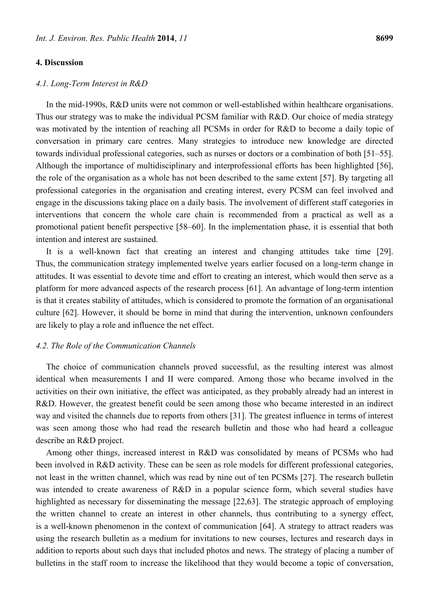## **4. Discussion**

#### *4.1. Long-Term Interest in R&D*

In the mid-1990s, R&D units were not common or well-established within healthcare organisations. Thus our strategy was to make the individual PCSM familiar with R&D. Our choice of media strategy was motivated by the intention of reaching all PCSMs in order for R&D to become a daily topic of conversation in primary care centres. Many strategies to introduce new knowledge are directed towards individual professional categories, such as nurses or doctors or a combination of both [51–55]. Although the importance of multidisciplinary and interprofessional efforts has been highlighted [56], the role of the organisation as a whole has not been described to the same extent [57]. By targeting all professional categories in the organisation and creating interest, every PCSM can feel involved and engage in the discussions taking place on a daily basis. The involvement of different staff categories in interventions that concern the whole care chain is recommended from a practical as well as a promotional patient benefit perspective [58–60]. In the implementation phase, it is essential that both intention and interest are sustained.

It is a well-known fact that creating an interest and changing attitudes take time [29]. Thus, the communication strategy implemented twelve years earlier focused on a long-term change in attitudes. It was essential to devote time and effort to creating an interest, which would then serve as a platform for more advanced aspects of the research process [61]. An advantage of long-term intention is that it creates stability of attitudes, which is considered to promote the formation of an organisational culture [62]. However, it should be borne in mind that during the intervention, unknown confounders are likely to play a role and influence the net effect.

# *4.2. The Role of the Communication Channels*

The choice of communication channels proved successful, as the resulting interest was almost identical when measurements I and II were compared. Among those who became involved in the activities on their own initiative, the effect was anticipated, as they probably already had an interest in R&D. However, the greatest benefit could be seen among those who became interested in an indirect way and visited the channels due to reports from others [31]. The greatest influence in terms of interest was seen among those who had read the research bulletin and those who had heard a colleague describe an R&D project.

Among other things, increased interest in R&D was consolidated by means of PCSMs who had been involved in R&D activity. These can be seen as role models for different professional categories, not least in the written channel, which was read by nine out of ten PCSMs [27]. The research bulletin was intended to create awareness of R&D in a popular science form, which several studies have highlighted as necessary for disseminating the message [22,63]. The strategic approach of employing the written channel to create an interest in other channels, thus contributing to a synergy effect, is a well-known phenomenon in the context of communication [64]. A strategy to attract readers was using the research bulletin as a medium for invitations to new courses, lectures and research days in addition to reports about such days that included photos and news. The strategy of placing a number of bulletins in the staff room to increase the likelihood that they would become a topic of conversation,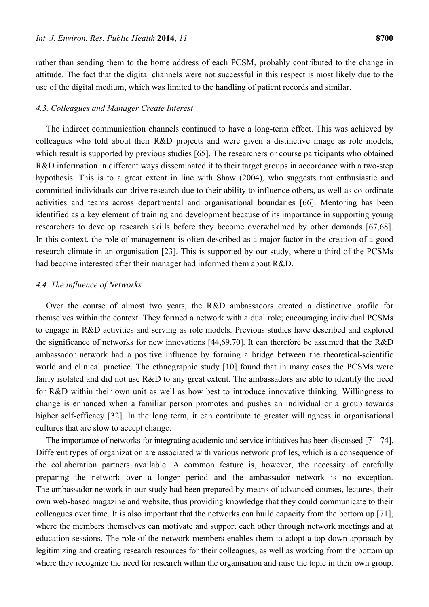rather than sending them to the home address of each PCSM, probably contributed to the change in attitude. The fact that the digital channels were not successful in this respect is most likely due to the use of the digital medium, which was limited to the handling of patient records and similar.

# *4.3. Colleagues and Manager Create Interest*

The indirect communication channels continued to have a long-term effect. This was achieved by colleagues who told about their R&D projects and were given a distinctive image as role models, which result is supported by previous studies [65]. The researchers or course participants who obtained R&D information in different ways disseminated it to their target groups in accordance with a two-step hypothesis. This is to a great extent in line with Shaw (2004)*,* who suggests that enthusiastic and committed individuals can drive research due to their ability to influence others, as well as co-ordinate activities and teams across departmental and organisational boundaries [66]. Mentoring has been identified as a key element of training and development because of its importance in supporting young researchers to develop research skills before they become overwhelmed by other demands [67,68]. In this context, the role of management is often described as a major factor in the creation of a good research climate in an organisation [23]. This is supported by our study, where a third of the PCSMs had become interested after their manager had informed them about R&D.

# *4.4. The influence of Networks*

Over the course of almost two years, the R&D ambassadors created a distinctive profile for themselves within the context. They formed a network with a dual role; encouraging individual PCSMs to engage in R&D activities and serving as role models. Previous studies have described and explored the significance of networks for new innovations [44,69,70]. It can therefore be assumed that the R&D ambassador network had a positive influence by forming a bridge between the theoretical-scientific world and clinical practice. The ethnographic study [10] found that in many cases the PCSMs were fairly isolated and did not use R&D to any great extent. The ambassadors are able to identify the need for R&D within their own unit as well as how best to introduce innovative thinking. Willingness to change is enhanced when a familiar person promotes and pushes an individual or a group towards higher self-efficacy [32]. In the long term, it can contribute to greater willingness in organisational cultures that are slow to accept change.

The importance of networks for integrating academic and service initiatives has been discussed [71–74]. Different types of organization are associated with various network profiles, which is a consequence of the collaboration partners available. A common feature is, however, the necessity of carefully preparing the network over a longer period and the ambassador network is no exception. The ambassador network in our study had been prepared by means of advanced courses, lectures, their own web-based magazine and website, thus providing knowledge that they could communicate to their colleagues over time. It is also important that the networks can build capacity from the bottom up [71], where the members themselves can motivate and support each other through network meetings and at education sessions. The role of the network members enables them to adopt a top-down approach by legitimizing and creating research resources for their colleagues, as well as working from the bottom up where they recognize the need for research within the organisation and raise the topic in their own group.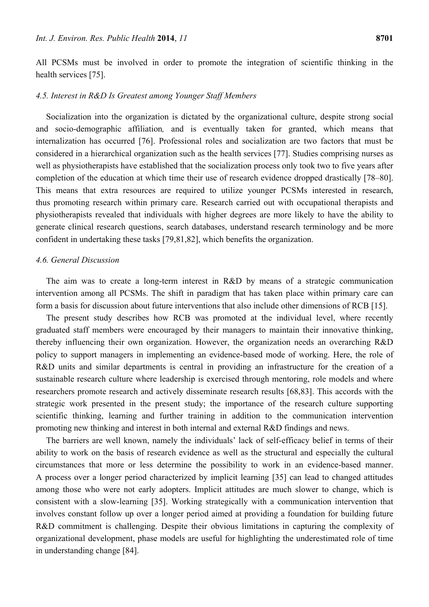All PCSMs must be involved in order to promote the integration of scientific thinking in the health services [75].

# *4.5. Interest in R&D Is Greatest among Younger Staff Members*

Socialization into the organization is dictated by the organizational culture, despite strong social and socio-demographic affiliation*,* and is eventually taken for granted, which means that internalization has occurred [76]. Professional roles and socialization are two factors that must be considered in a hierarchical organization such as the health services [77]. Studies comprising nurses as well as physiotherapists have established that the socialization process only took two to five years after completion of the education at which time their use of research evidence dropped drastically [78–80]. This means that extra resources are required to utilize younger PCSMs interested in research, thus promoting research within primary care. Research carried out with occupational therapists and physiotherapists revealed that individuals with higher degrees are more likely to have the ability to generate clinical research questions, search databases, understand research terminology and be more confident in undertaking these tasks [79,81,82], which benefits the organization.

# *4.6. General Discussion*

The aim was to create a long-term interest in R&D by means of a strategic communication intervention among all PCSMs. The shift in paradigm that has taken place within primary care can form a basis for discussion about future interventions that also include other dimensions of RCB [15].

The present study describes how RCB was promoted at the individual level, where recently graduated staff members were encouraged by their managers to maintain their innovative thinking, thereby influencing their own organization. However, the organization needs an overarching R&D policy to support managers in implementing an evidence-based mode of working. Here, the role of R&D units and similar departments is central in providing an infrastructure for the creation of a sustainable research culture where leadership is exercised through mentoring, role models and where researchers promote research and actively disseminate research results [68,83]. This accords with the strategic work presented in the present study; the importance of the research culture supporting scientific thinking, learning and further training in addition to the communication intervention promoting new thinking and interest in both internal and external R&D findings and news.

The barriers are well known, namely the individuals' lack of self-efficacy belief in terms of their ability to work on the basis of research evidence as well as the structural and especially the cultural circumstances that more or less determine the possibility to work in an evidence-based manner. A process over a longer period characterized by implicit learning [35] can lead to changed attitudes among those who were not early adopters. Implicit attitudes are much slower to change, which is consistent with a slow-learning [35]. Working strategically with a communication intervention that involves constant follow up over a longer period aimed at providing a foundation for building future R&D commitment is challenging. Despite their obvious limitations in capturing the complexity of organizational development, phase models are useful for highlighting the underestimated role of time in understanding change [84].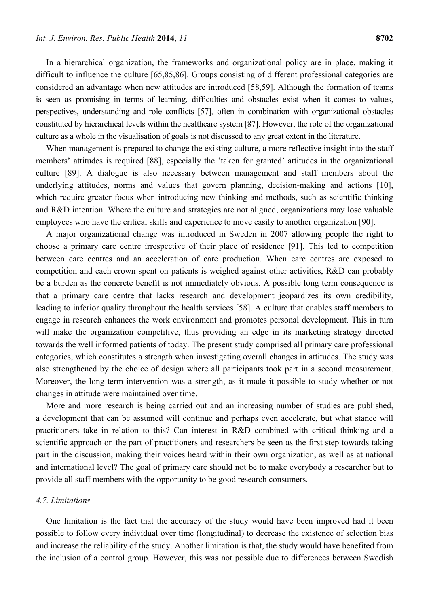In a hierarchical organization, the frameworks and organizational policy are in place, making it difficult to influence the culture [65,85,86]. Groups consisting of different professional categories are considered an advantage when new attitudes are introduced [58,59]. Although the formation of teams is seen as promising in terms of learning, difficulties and obstacles exist when it comes to values, perspectives, understanding and role conflicts [57]*,* often in combination with organizational obstacles constituted by hierarchical levels within the healthcare system [87]. However, the role of the organizational culture as a whole in the visualisation of goals is not discussed to any great extent in the literature.

When management is prepared to change the existing culture, a more reflective insight into the staff members' attitudes is required [88], especially the 'taken for granted' attitudes in the organizational culture [89]. A dialogue is also necessary between management and staff members about the underlying attitudes, norms and values that govern planning, decision-making and actions [10], which require greater focus when introducing new thinking and methods, such as scientific thinking and R&D intention. Where the culture and strategies are not aligned, organizations may lose valuable employees who have the critical skills and experience to move easily to another organization [90].

A major organizational change was introduced in Sweden in 2007 allowing people the right to choose a primary care centre irrespective of their place of residence [91]. This led to competition between care centres and an acceleration of care production. When care centres are exposed to competition and each crown spent on patients is weighed against other activities, R&D can probably be a burden as the concrete benefit is not immediately obvious. A possible long term consequence is that a primary care centre that lacks research and development jeopardizes its own credibility, leading to inferior quality throughout the health services [58]. A culture that enables staff members to engage in research enhances the work environment and promotes personal development. This in turn will make the organization competitive, thus providing an edge in its marketing strategy directed towards the well informed patients of today. The present study comprised all primary care professional categories, which constitutes a strength when investigating overall changes in attitudes. The study was also strengthened by the choice of design where all participants took part in a second measurement. Moreover, the long-term intervention was a strength, as it made it possible to study whether or not changes in attitude were maintained over time.

More and more research is being carried out and an increasing number of studies are published, a development that can be assumed will continue and perhaps even accelerate*,* but what stance will practitioners take in relation to this? Can interest in R&D combined with critical thinking and a scientific approach on the part of practitioners and researchers be seen as the first step towards taking part in the discussion, making their voices heard within their own organization, as well as at national and international level? The goal of primary care should not be to make everybody a researcher but to provide all staff members with the opportunity to be good research consumers.

# *4.7. Limitations*

One limitation is the fact that the accuracy of the study would have been improved had it been possible to follow every individual over time (longitudinal) to decrease the existence of selection bias and increase the reliability of the study. Another limitation is that, the study would have benefited from the inclusion of a control group. However, this was not possible due to differences between Swedish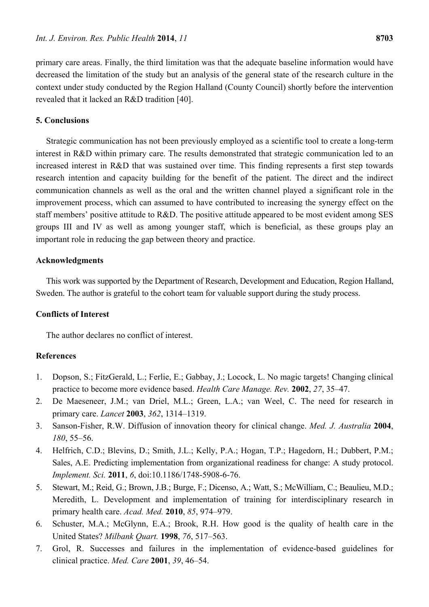primary care areas. Finally, the third limitation was that the adequate baseline information would have decreased the limitation of the study but an analysis of the general state of the research culture in the context under study conducted by the Region Halland (County Council) shortly before the intervention revealed that it lacked an R&D tradition [40].

# **5. Conclusions**

Strategic communication has not been previously employed as a scientific tool to create a long-term interest in R&D within primary care. The results demonstrated that strategic communication led to an increased interest in R&D that was sustained over time. This finding represents a first step towards research intention and capacity building for the benefit of the patient. The direct and the indirect communication channels as well as the oral and the written channel played a significant role in the improvement process, which can assumed to have contributed to increasing the synergy effect on the staff members' positive attitude to R&D. The positive attitude appeared to be most evident among SES groups III and IV as well as among younger staff, which is beneficial, as these groups play an important role in reducing the gap between theory and practice.

# **Acknowledgments**

This work was supported by the Department of Research, Development and Education, Region Halland, Sweden. The author is grateful to the cohort team for valuable support during the study process.

# **Conflicts of Interest**

The author declares no conflict of interest.

## **References**

- 1. Dopson, S.; FitzGerald, L.; Ferlie, E.; Gabbay, J.; Locock, L. No magic targets! Changing clinical practice to become more evidence based. *Health Care Manage. Rev.* **2002**, *27*, 35–47.
- 2. De Maeseneer, J.M.; van Driel, M.L.; Green, L.A.; van Weel, C. The need for research in primary care. *Lancet* **2003**, *362*, 1314–1319.
- 3. Sanson-Fisher, R.W. Diffusion of innovation theory for clinical change. *Med. J. Australia* **2004**, *180*, 55–56.
- 4. Helfrich, C.D.; Blevins, D.; Smith, J.L.; Kelly, P.A.; Hogan, T.P.; Hagedorn, H.; Dubbert, P.M.; Sales, A.E. Predicting implementation from organizational readiness for change: A study protocol. *Implement. Sci.* **2011**, *6*, doi:10.1186/1748-5908-6-76.
- 5. Stewart, M.; Reid, G.; Brown, J.B.; Burge, F.; Dicenso, A.; Watt, S.; McWilliam, C.; Beaulieu, M.D.; Meredith, L. Development and implementation of training for interdisciplinary research in primary health care. *Acad. Med.* **2010**, *85*, 974–979.
- 6. Schuster, M.A.; McGlynn, E.A.; Brook, R.H. How good is the quality of health care in the United States? *Milbank Quart.* **1998**, *76*, 517–563.
- 7. Grol, R. Successes and failures in the implementation of evidence-based guidelines for clinical practice. *Med. Care* **2001**, *39*, 46–54.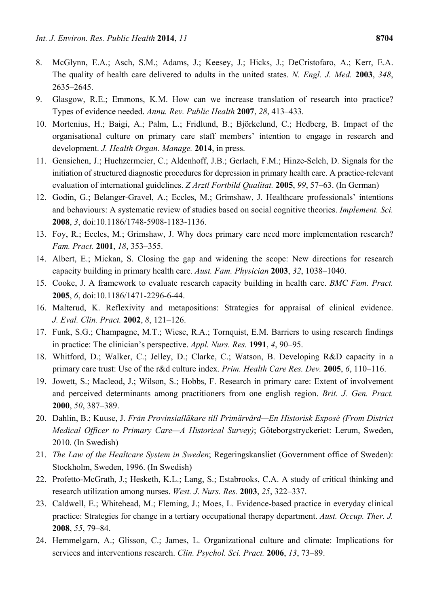- 8. McGlynn, E.A.; Asch, S.M.; Adams, J.; Keesey, J.; Hicks, J.; DeCristofaro, A.; Kerr, E.A. The quality of health care delivered to adults in the united states. *N. Engl. J. Med.* **2003**, *348*, 2635–2645.
- 9. Glasgow, R.E.; Emmons, K.M. How can we increase translation of research into practice? Types of evidence needed. *Annu. Rev. Public Health* **2007**, *28*, 413–433.
- 10. Mortenius, H.; Baigi, A.; Palm, L.; Fridlund, B.; Björkelund, C.; Hedberg, B. Impact of the organisational culture on primary care staff members' intention to engage in research and development. *J. Health Organ. Manage.* **2014**, in press.
- 11. Gensichen, J.; Huchzermeier, C.; Aldenhoff, J.B.; Gerlach, F.M.; Hinze-Selch, D. Signals for the initiation of structured diagnostic procedures for depression in primary health care. A practice-relevant evaluation of international guidelines. *Z Arztl Fortbild Qualitat.* **2005**, *99*, 57–63. (In German)
- 12. Godin, G.; Belanger-Gravel, A.; Eccles, M.; Grimshaw, J. Healthcare professionals' intentions and behaviours: A systematic review of studies based on social cognitive theories. *Implement. Sci.*  **2008**, *3*, doi:10.1186/1748-5908-1183-1136.
- 13. Foy, R.; Eccles, M.; Grimshaw, J. Why does primary care need more implementation research? *Fam. Pract.* **2001**, *18*, 353–355.
- 14. Albert, E.; Mickan, S. Closing the gap and widening the scope: New directions for research capacity building in primary health care. *Aust. Fam. Physician* **2003**, *32*, 1038–1040.
- 15. Cooke, J. A framework to evaluate research capacity building in health care. *BMC Fam. Pract.*  **2005**, *6*, doi:10.1186/1471-2296-6-44.
- 16. Malterud, K. Reflexivity and metapositions: Strategies for appraisal of clinical evidence. *J. Eval. Clin. Pract.* **2002**, *8*, 121–126.
- 17. Funk, S.G.; Champagne, M.T.; Wiese, R.A.; Tornquist, E.M. Barriers to using research findings in practice: The clinician's perspective. *Appl. Nurs. Res.* **1991**, *4*, 90–95.
- 18. Whitford, D.; Walker, C.; Jelley, D.; Clarke, C.; Watson, B. Developing R&D capacity in a primary care trust: Use of the r&d culture index. *Prim. Health Care Res. Dev.* **2005**, *6*, 110–116.
- 19. Jowett, S.; Macleod, J.; Wilson, S.; Hobbs, F. Research in primary care: Extent of involvement and perceived determinants among practitioners from one english region. *Brit. J. Gen. Pract.*  **2000**, *50*, 387–389.
- 20. Dahlin, B.; Kuuse, J. *Från Provinsialläkare till Primärvård—En Historisk Exposé (From District Medical Officer to Primary Care—A Historical Survey)*; Göteborgstryckeriet: Lerum, Sweden, 2010. (In Swedish)
- 21. *The Law of the Healtcare System in Sweden*; Regeringskansliet (Government office of Sweden): Stockholm, Sweden, 1996. (In Swedish)
- 22. Profetto-McGrath, J.; Hesketh, K.L.; Lang, S.; Estabrooks, C.A. A study of critical thinking and research utilization among nurses. *West. J. Nurs. Res.* **2003**, *25*, 322–337.
- 23. Caldwell, E.; Whitehead, M.; Fleming, J.; Moes, L. Evidence-based practice in everyday clinical practice: Strategies for change in a tertiary occupational therapy department. *Aust. Occup. Ther. J.*  **2008**, *55*, 79–84.
- 24. Hemmelgarn, A.; Glisson, C.; James, L. Organizational culture and climate: Implications for services and interventions research. *Clin. Psychol. Sci. Pract.* **2006**, *13*, 73–89.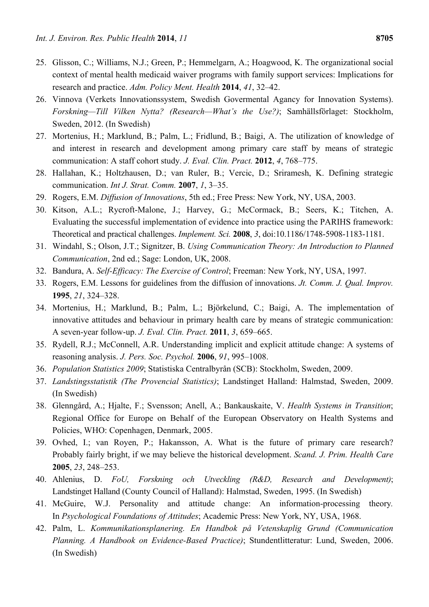- 25. Glisson, C.; Williams, N.J.; Green, P.; Hemmelgarn, A.; Hoagwood, K. The organizational social context of mental health medicaid waiver programs with family support services: Implications for research and practice. *Adm. Policy Ment. Health* **2014**, *41*, 32–42.
- 26. Vinnova (Verkets Innovationssystem, Swedish Govermental Agancy for Innovation Systems). *Forskning—Till Vilken Nytta? (Research—What's the Use?)*; Samhällsförlaget: Stockholm, Sweden, 2012. (In Swedish)
- 27. Mortenius, H.; Marklund, B.; Palm, L.; Fridlund, B.; Baigi, A. The utilization of knowledge of and interest in research and development among primary care staff by means of strategic communication: A staff cohort study. *J. Eval. Clin. Pract.* **2012**, *4*, 768–775.
- 28. Hallahan, K.; Holtzhausen, D.; van Ruler, B.; Vercic, D.; Sriramesh, K. Defining strategic communication. *Int J. Strat. Comm.* **2007**, *1*, 3–35.
- 29. Rogers, E.M. *Diffusion of Innovations*, 5th ed.; Free Press: New York, NY, USA, 2003.
- 30. Kitson, A.L.; Rycroft-Malone, J.; Harvey, G.; McCormack, B.; Seers, K.; Titchen, A. Evaluating the successful implementation of evidence into practice using the PARIHS framework: Theoretical and practical challenges. *Implement. Sci.* **2008**, *3*, doi:10.1186/1748-5908-1183-1181.
- 31. Windahl, S.; Olson, J.T.; Signitzer, B. *Using Communication Theory: An Introduction to Planned Communication*, 2nd ed.; Sage: London, UK, 2008.
- 32. Bandura, A. *Self-Efficacy: The Exercise of Control*; Freeman: New York, NY, USA, 1997.
- 33. Rogers, E.M. Lessons for guidelines from the diffusion of innovations. *Jt. Comm. J. Qual. Improv.*  **1995**, *21*, 324–328.
- 34. Mortenius, H.; Marklund, B.; Palm, L.; Björkelund, C.; Baigi, A. The implementation of innovative attitudes and behaviour in primary health care by means of strategic communication: A seven-year follow-up. *J. Eval. Clin. Pract.* **2011**, *3*, 659–665.
- 35. Rydell, R.J.; McConnell, A.R. Understanding implicit and explicit attitude change: A systems of reasoning analysis. *J. Pers. Soc. Psychol.* **2006**, *91*, 995–1008.
- 36. *Population Statistics 2009*; Statistiska Centralbyrån (SCB): Stockholm, Sweden, 2009.
- 37. *Landstingsstatistik (The Provencial Statistics)*; Landstinget Halland: Halmstad, Sweden, 2009. (In Swedish)
- 38. Glenngård, A.; Hjalte, F.; Svensson; Anell, A.; Bankauskaite, V. *Health Systems in Transition*; Regional Office for Europe on Behalf of the European Observatory on Health Systems and Policies, WHO: Copenhagen, Denmark, 2005.
- 39. Ovhed, I.; van Royen, P.; Hakansson, A. What is the future of primary care research? Probably fairly bright, if we may believe the historical development. *Scand. J. Prim. Health Care*  **2005**, *23*, 248–253.
- 40. Ahlenius, D. *FoU, Forskning och Utveckling (R&D, Research and Development)*; Landstinget Halland (County Council of Halland): Halmstad, Sweden, 1995. (In Swedish)
- 41. McGuire, W.J. Personality and attitude change: An information-processing theory*.*  In *Psychological Foundations of Attitudes*; Academic Press: New York, NY, USA, 1968.
- 42. Palm, L. *Kommunikationsplanering. En Handbok på Vetenskaplig Grund (Communication Planning. A Handbook on Evidence-Based Practice)*; Stundentlitteratur: Lund, Sweden, 2006. (In Swedish)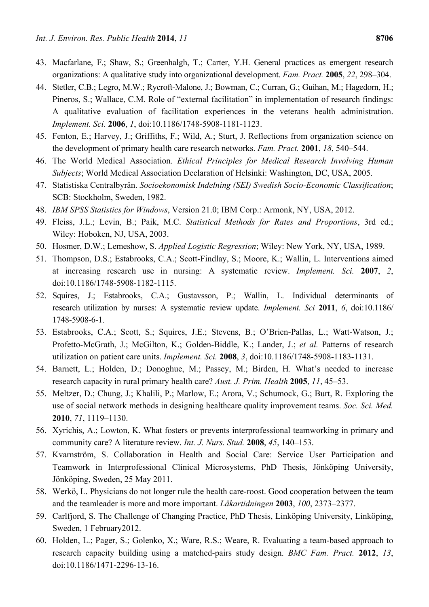- 43. Macfarlane, F.; Shaw, S.; Greenhalgh, T.; Carter, Y.H. General practices as emergent research organizations: A qualitative study into organizational development. *Fam. Pract.* **2005**, *22*, 298–304.
- 44. Stetler, C.B.; Legro, M.W.; Rycroft-Malone, J.; Bowman, C.; Curran, G.; Guihan, M.; Hagedorn, H.; Pineros, S.; Wallace, C.M. Role of "external facilitation" in implementation of research findings: A qualitative evaluation of facilitation experiences in the veterans health administration. *Implement. Sci.* **2006**, *1*, doi:10.1186/1748-5908-1181-1123.
- 45. Fenton, E.; Harvey, J.; Griffiths, F.; Wild, A.; Sturt, J. Reflections from organization science on the development of primary health care research networks. *Fam. Pract.* **2001**, *18*, 540–544.
- 46. The World Medical Association. *Ethical Principles for Medical Research Involving Human Subjects*; World Medical Association Declaration of Helsinki: Washington, DC, USA, 2005.
- 47. Statistiska Centralbyrån. *Socioekonomisk Indelning (SEI) Swedish Socio-Economic Classification*; SCB: Stockholm, Sweden, 1982.
- 48. *IBM SPSS Statistics for Windows*, Version 21.0; IBM Corp.: Armonk, NY, USA, 2012.
- 49. Fleiss, J.L.; Levin, B.; Paik, M.C. *Statistical Methods for Rates and Proportions*, 3rd ed.; Wiley: Hoboken, NJ, USA, 2003.
- 50. Hosmer, D.W.; Lemeshow, S. *Applied Logistic Regression*; Wiley: New York, NY, USA, 1989.
- 51. Thompson, D.S.; Estabrooks, C.A.; Scott-Findlay, S.; Moore, K.; Wallin, L. Interventions aimed at increasing research use in nursing: A systematic review. *Implement. Sci.* **2007**, *2*, doi:10.1186/1748-5908-1182-1115.
- 52. Squires, J.; Estabrooks, C.A.; Gustavsson, P.; Wallin, L. Individual determinants of research utilization by nurses: A systematic review update. *Implement. Sci* **2011**, *6*, doi:10.1186/ 1748-5908-6-1.
- 53. Estabrooks, C.A.; Scott, S.; Squires, J.E.; Stevens, B.; O'Brien-Pallas, L.; Watt-Watson, J.; Profetto-McGrath, J.; McGilton, K.; Golden-Biddle, K.; Lander, J.; *et al.* Patterns of research utilization on patient care units. *Implement. Sci.* **2008**, *3*, doi:10.1186/1748-5908-1183-1131.
- 54. Barnett, L.; Holden, D.; Donoghue, M.; Passey, M.; Birden, H. What's needed to increase research capacity in rural primary health care? *Aust. J. Prim. Health* **2005**, *11*, 45–53.
- 55. Meltzer, D.; Chung, J.; Khalili, P.; Marlow, E.; Arora, V.; Schumock, G.; Burt, R. Exploring the use of social network methods in designing healthcare quality improvement teams. *Soc. Sci. Med.*  **2010**, *71*, 1119–1130.
- 56. Xyrichis, A.; Lowton, K. What fosters or prevents interprofessional teamworking in primary and community care? A literature review. *Int. J. Nurs. Stud.* **2008**, *45*, 140–153.
- 57. Kvarnström, S. Collaboration in Health and Social Care: Service User Participation and Teamwork in Interprofessional Clinical Microsystems, PhD Thesis, Jönköping University, Jönköping, Sweden, 25 May 2011.
- 58. Werkö, L. Physicians do not longer rule the health care-roost. Good cooperation between the team and the teamleader is more and more important. *Läkartidningen* **2003**, *100*, 2373–2377.
- 59. Carlfjord, S. The Challenge of Changing Practice, PhD Thesis, Linköping University, Linköping, Sweden, 1 February2012.
- 60. Holden, L.; Pager, S.; Golenko, X.; Ware, R.S.; Weare, R. Evaluating a team-based approach to research capacity building using a matched-pairs study design. *BMC Fam. Pract.* **2012**, *13*, doi:10.1186/1471-2296-13-16.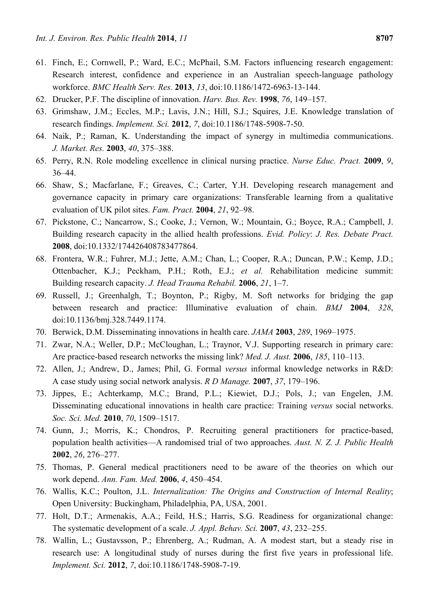- 61. Finch, E.; Cornwell, P.; Ward, E.C.; McPhail, S.M. Factors influencing research engagement: Research interest, confidence and experience in an Australian speech-language pathology workforce. *BMC Health Serv. Res.* **2013**, *13*, doi:10.1186/1472-6963-13-144.
- 62. Drucker, P.F. The discipline of innovation. *Harv. Bus. Rev.* **1998**, *76*, 149–157.
- 63. Grimshaw, J.M.; Eccles, M.P.; Lavis, J.N.; Hill, S.J.; Squires, J.E. Knowledge translation of research findings. *Implement. Sci.* **2012**, *7*, doi:10.1186/1748-5908-7-50.
- 64. Naik, P.; Raman, K. Understanding the impact of synergy in multimedia communications. *J. Market. Res.* **2003**, *40*, 375–388.
- 65. Perry, R.N. Role modeling excellence in clinical nursing practice. *Nurse Educ. Pract.* **2009**, *9*, 36–44.
- 66. Shaw, S.; Macfarlane, F.; Greaves, C.; Carter, Y.H. Developing research management and governance capacity in primary care organizations: Transferable learning from a qualitative evaluation of UK pilot sites. *Fam. Pract.* **2004**, *21*, 92–98.
- 67. Pickstone, C.; Nancarrow, S.; Cooke, J.; Vernon, W.; Mountain, G.; Boyce, R.A.; Campbell, J. Building research capacity in the allied health professions. *Evid. Policy*: *J. Res. Debate Pract.*  **2008**, doi:10.1332/174426408783477864.
- 68. Frontera, W.R.; Fuhrer, M.J.; Jette, A.M.; Chan, L.; Cooper, R.A.; Duncan, P.W.; Kemp, J.D.; Ottenbacher, K.J.; Peckham, P.H.; Roth, E.J.; *et al.* Rehabilitation medicine summit: Building research capacity. *J. Head Trauma Rehabil.* **2006**, *21*, 1–7.
- 69. Russell, J.; Greenhalgh, T.; Boynton, P.; Rigby, M. Soft networks for bridging the gap between research and practice: Illuminative evaluation of chain. *BMJ* **2004**, *328*, doi:10.1136/bmj.328.7449.1174.
- 70. Berwick, D.M. Disseminating innovations in health care. *JAMA* **2003**, *289*, 1969–1975.
- 71. Zwar, N.A.; Weller, D.P.; McCloughan, L.; Traynor, V.J. Supporting research in primary care: Are practice-based research networks the missing link? *Med. J. Aust.* **2006**, *185*, 110–113.
- 72. Allen, J.; Andrew, D., James; Phil, G. Formal *versus* informal knowledge networks in R&D: A case study using social network analysis. *R D Manage.* **2007**, *37*, 179–196.
- 73. Jippes, E.; Achterkamp, M.C.; Brand, P.L.; Kiewiet, D.J.; Pols, J.; van Engelen, J.M. Disseminating educational innovations in health care practice: Training *versus* social networks. *Soc. Sci. Med.* **2010**, *70*, 1509–1517.
- 74. Gunn, J.; Morris, K.; Chondros, P. Recruiting general practitioners for practice-based, population health activities—A randomised trial of two approaches. *Aust. N. Z. J. Public Health*  **2002**, *26*, 276–277.
- 75. Thomas, P. General medical practitioners need to be aware of the theories on which our work depend. *Ann. Fam. Med.* **2006**, *4*, 450–454.
- 76. Wallis, K.C.; Poulton, J.L. *Internalization: The Origins and Construction of Internal Reality*; Open University: Buckingham, Philadelphia, PA, USA, 2001.
- 77. Holt, D.T.; Armenakis, A.A.; Feild, H.S.; Harris, S.G. Readiness for organizational change: The systematic development of a scale. *J. Appl. Behav. Sci.* **2007**, *43*, 232–255.
- 78. Wallin, L.; Gustavsson, P.; Ehrenberg, A.; Rudman, A. A modest start, but a steady rise in research use: A longitudinal study of nurses during the first five years in professional life. *Implement. Sci.* **2012**, *7*, doi:10.1186/1748-5908-7-19.